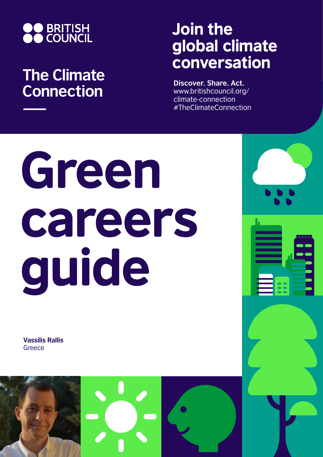

## **The Climate Connection**

## Join the global climate conversation

**Discover. Share. Act.** www.britishcouncil.org/ climate-connection #TheClimateConnection

## Green careers guide

**Vassilis Rallis Greece** 

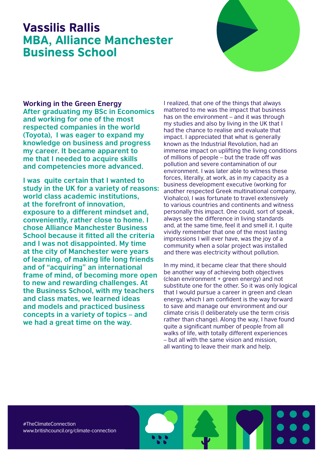## Vassilis Rallis MBA, Alliance Manchester Business School



**Working in the Green Energy After graduating my BSc in Economics and working for one of the most respected companies in the world (Toyota), I was eager to expand my knowledge on business and progress my career. It became apparent to me that I needed to acquire skills and competencies more advanced.** 

**I was quite certain that I wanted to study in the UK for a variety of reasons: world class academic institutions, at the forefront of innovation, exposure to a different mindset and, conveniently, rather close to home. I chose Alliance Manchester Business School because it fitted all the criteria and I was not disappointed. My time at the city of Manchester were years of learning, of making life long friends and of "acquiring" an international frame of mind, of becoming more open to new and rewarding challenges. At the Business School, with my teachers and class mates, we learned ideas and models and practiced business concepts in a variety of topics – and we had a great time on the way.**

I realized, that one of the things that always mattered to me was the impact that business has on the environment – and it was through my studies and also by living in the UK that I had the chance to realise and evaluate that impact. I appreciated that what is generally known as the Industrial Revolution, had an immense impact on uplifting the living conditions of millions of people – but the trade off was pollution and severe contamination of our environment. I was later able to witness these forces, literally, at work, as in my capacity as a business development executive (working for another respected Greek multinational company, Viohalco), I was fortunate to travel extensively to various countries and continents and witness personally this impact. One could, sort of speak, always see the difference in living standards and, at the same time, feel it and smell it. I quite vividly remember that one of the most lasting impressions I will ever have, was the joy of a community when a solar project was installed and there was electricity without pollution.

In my mind, it became clear that there should be another way of achieving both objectives (clean environment + green energy) and not substitute one for the other. So it was only logical that I would pursue a career in green and clean energy, which I am confident is the way forward to save and manage our environment and our climate crisis (I deliberately use the term crisis rather than change). Along the way, I have found quite a significant number of people from all walks of life, with totally different experiences – but all with the same vision and mission, all wanting to leave their mark and help.

#TheClimateConnection www.britishcouncil.org/climate-connection